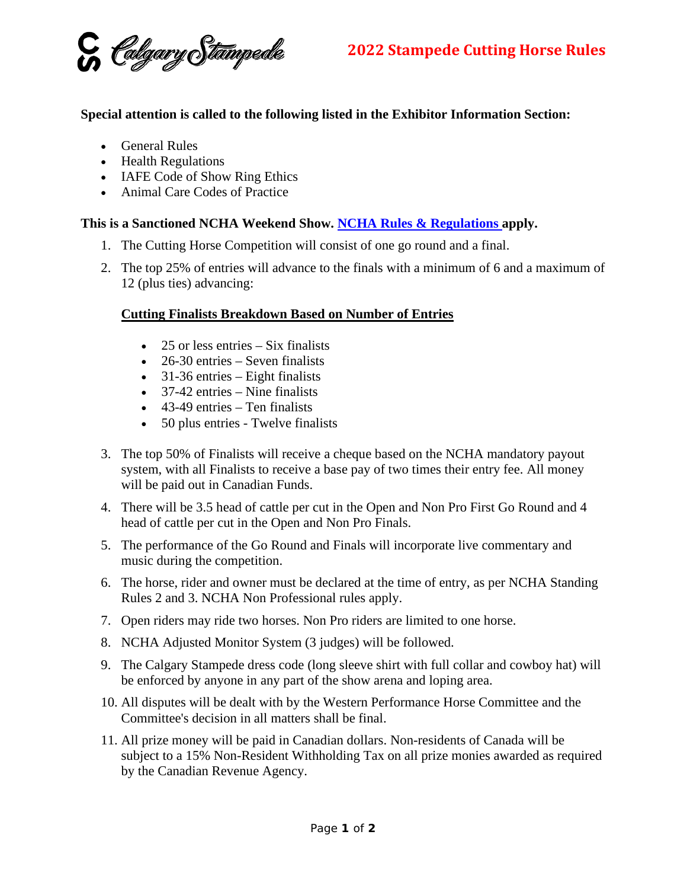G Colgary Stampede

## **Special attention is called to the following listed in the Exhibitor Information Section:**

- General Rules
- Health Regulations
- IAFE Code of Show Ring Ethics
- Animal Care Codes of Practice

## **This is a Sanctioned NCHA Weekend Show. [NCHA Rules & Regulations a](https://www.ncha.com.au/rule-book-update#:%7E:text=NCHA%20Rule%20Book%20Contestants%20%E2%80%93%20From%201st%20March,Board%20in%20consultation%20with%20the%20PCHTA%20accreditation%20committee.)pply.**

- 1. The Cutting Horse Competition will consist of one go round and a final.
- 2. The top 25% of entries will advance to the finals with a minimum of 6 and a maximum of 12 (plus ties) advancing:

## **Cutting Finalists Breakdown Based on Number of Entries**

- $\bullet$  25 or less entries Six finalists
- 26-30 entries Seven finalists
- 31-36 entries Eight finalists
- 37-42 entries Nine finalists
- $\bullet$  43-49 entries Ten finalists
- 50 plus entries Twelve finalists
- 3. The top 50% of Finalists will receive a cheque based on the NCHA mandatory payout system, with all Finalists to receive a base pay of two times their entry fee. All money will be paid out in Canadian Funds.
- 4. There will be 3.5 head of cattle per cut in the Open and Non Pro First Go Round and 4 head of cattle per cut in the Open and Non Pro Finals.
- 5. The performance of the Go Round and Finals will incorporate live commentary and music during the competition.
- 6. The horse, rider and owner must be declared at the time of entry, as per NCHA Standing Rules 2 and 3. NCHA Non Professional rules apply.
- 7. Open riders may ride two horses. Non Pro riders are limited to one horse.
- 8. NCHA Adjusted Monitor System (3 judges) will be followed.
- 9. The Calgary Stampede dress code (long sleeve shirt with full collar and cowboy hat) will be enforced by anyone in any part of the show arena and loping area.
- 10. All disputes will be dealt with by the Western Performance Horse Committee and the Committee's decision in all matters shall be final.
- 11. All prize money will be paid in Canadian dollars. Non-residents of Canada will be subject to a 15% Non-Resident Withholding Tax on all prize monies awarded as required by the Canadian Revenue Agency.